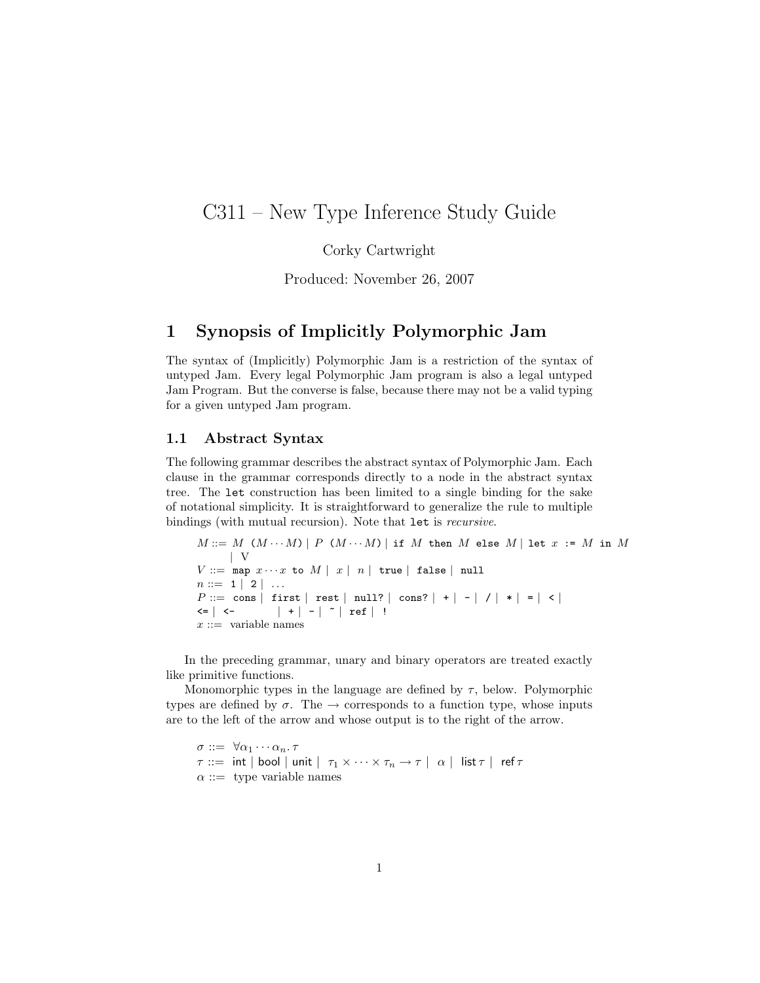# C311 – New Type Inference Study Guide

Corky Cartwright

Produced: November 26, 2007

### 1 Synopsis of Implicitly Polymorphic Jam

The syntax of (Implicitly) Polymorphic Jam is a restriction of the syntax of untyped Jam. Every legal Polymorphic Jam program is also a legal untyped Jam Program. But the converse is false, because there may not be a valid typing for a given untyped Jam program.

#### 1.1 Abstract Syntax

The following grammar describes the abstract syntax of Polymorphic Jam. Each clause in the grammar corresponds directly to a node in the abstract syntax tree. The let construction has been limited to a single binding for the sake of notational simplicity. It is straightforward to generalize the rule to multiple bindings (with mutual recursion). Note that let is recursive.

 $M ::= M (M \cdots M) | P (M \cdots M) |$  if M then M else M | let  $x := M$  in M | V  $V ::= \texttt{map } x \cdots x$  to  $M | x | n |$  true | false | null  $n ::= 1 | 2 | ...$  $P ::= \text{cons} | \text{first} | \text{rest} | \text{null?} | \text{cons?} | + | - | / | * | = | < |$  $\left| \begin{array}{ccc} \xleft| \begin{array}{cc} \xleft| \end{array} \right| & \xleft| \begin{array}{c} \xleft| \end{array} \right| & \xleft| \begin{array}{c} \xleft| \end{array} \right| & \xleft| \begin{array}{c} \xleft| \end{array} \right| & \xleft| \begin{array}{c} \xleft| \end{array} \right| & \xleft| \begin{array}{c} \xleft| \end{array} \right| & \xleft| \begin{array}{c} \xleft| \end{array} \right| & \xleft| \begin{array}{c} \xleft| \xleft| \end{array} \right| & \xleft| \begin{array}{c} \xleft$  $x ::=$  variable names

In the preceding grammar, unary and binary operators are treated exactly like primitive functions.

Monomorphic types in the language are defined by  $\tau$ , below. Polymorphic types are defined by  $\sigma$ . The  $\rightarrow$  corresponds to a function type, whose inputs are to the left of the arrow and whose output is to the right of the arrow.

 $\sigma ::= \forall \alpha_1 \cdots \alpha_n \ldotp \tau$  $\tau ::= \; \mathsf{int} \; | \; \mathsf{bool} \; | \; \mathsf{unit} \; | \; \; \tau_1 \times \cdots \times \tau_n \to \tau \; | \; \; \alpha \; | \; \; \mathsf{list} \, \tau \; | \; \; \mathsf{ref} \, \tau$  $\alpha ::=$  type variable names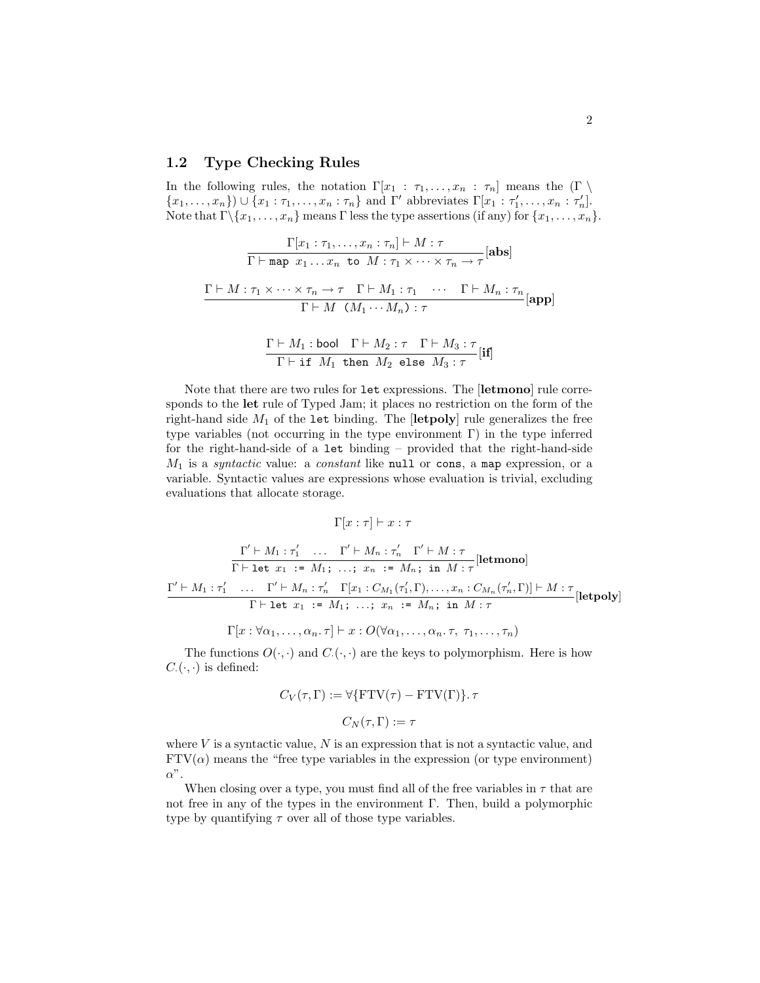#### 1.2 Type Checking Rules

In the following rules, the notation  $\Gamma[x_1 : \tau_1, \ldots, x_n : \tau_n]$  means the  $(\Gamma \setminus$  $\{x_1, \ldots, x_n\}$   $\cup$   $\{x_1 : \tau_1, \ldots, x_n : \tau_n\}$  and  $\Gamma'$  abbreviates  $\Gamma[x_1 : \tau'_1, \ldots, x_n : \tau'_n]$ . Note that  $\Gamma \setminus \{x_1, \ldots, x_n\}$  means  $\Gamma$  less the type assertions (if any) for  $\{x_1, \ldots, x_n\}$ .

$$
\frac{\Gamma[x_1 : \tau_1, \dots, x_n : \tau_n] \vdash M : \tau}{\Gamma \vdash \text{map } x_1 \dots x_n \text{ to } M : \tau_1 \times \dots \times \tau_n \to \tau}[\text{abs}]
$$
\n
$$
\frac{\Gamma \vdash M : \tau_1 \times \dots \times \tau_n \to \tau \quad \Gamma \vdash M_1 : \tau_1 \quad \cdots \quad \Gamma \vdash M_n : \tau_n}{\Gamma \vdash M \quad (M_1 \cdots M_n) : \tau}[\text{app}]
$$
\n
$$
\frac{\Gamma \vdash M \colon \text{b}{\text{pop}} \quad \Gamma \vdash M \colon \tau \quad \Gamma \vdash M_1 : \tau \quad \Gamma \vdash M_2 : \tau \quad \Gamma \vdash M_3 : \tau \quad \Gamma \vdash M_4 : \tau \quad \Gamma \vdash M_5 : \tau \quad \Gamma \vdash M_6 : \tau \quad \Gamma \vdash M_5 : \tau \quad \Gamma \vdash M_6 : \tau \quad \Gamma \vdash M_7 : \tau \quad \Gamma \vdash M_8 : \tau \quad \Gamma \vdash M_5 : \tau \vdash M_7 : \tau \vdash M_8 : \tau \vdash M_9 : \tau \vdash M_9 : \tau \vdash M_1 : \tau \vdash M_1 : \tau \vdash M_1 : \tau \vdash M_1 : \tau \vdash M_1 : \tau \vdash M_1 : \tau \vdash M_2 : \tau \vdash M_3 : \tau \vdash M_1 : \tau \vdash M_3 : \tau \vdash M_1 : \tau \vdash M_1 : \tau \vdash M_2 : \tau \vdash M_3 : \tau \vdash M_3 : \tau \vdash M_4 : \tau \vdash M_5 : \tau \vdash M_5 : \tau \vdash M_6 : \tau \vdash M_7 : \tau \vdash M_7 : \tau \vdash M_8 : \tau \vdash M_8 : \tau \vdash M_9 : \tau \vdash M_1 : \tau \vdash M_1 : \tau \vdash M_1 : \tau \vdash M_1 : \tau \vdash M_2 : \tau \vdash M_1 : \tau \vdash M_1 : \tau \vdash M_1 : \tau \vdash M_1 : \tau \vdash M_1 : \tau \vdash M_1 : \tau \vdash M_1 : \tau \vdash M_1 : \tau \vdash M_1 : \tau \vdash M_1 : \tau \vdash M_1 : \tau \vdash M_1
$$

$$
\frac{\Gamma \vdash M_1: \text{bool} \quad \Gamma \vdash M_2: \tau \quad \Gamma \vdash M_3: \tau}{\Gamma \vdash \texttt{if} \ M_1 \texttt{ then } M_2 \texttt{ else } M_3: \tau}[\texttt{if}]
$$

Note that there are two rules for let expressions. The [letmono] rule corresponds to the let rule of Typed Jam; it places no restriction on the form of the right-hand side  $M_1$  of the let binding. The  $[\text{letpoly}]$  rule generalizes the free type variables (not occurring in the type environment Γ) in the type inferred for the right-hand-side of a let binding – provided that the right-hand-side  $M_1$  is a syntactic value: a constant like null or cons, a map expression, or a variable. Syntactic values are expressions whose evaluation is trivial, excluding evaluations that allocate storage.

$$
\Gamma[x:\tau]\vdash x:\tau
$$

$$
\frac{\Gamma' \vdash M_1 : \tau'_1 \quad \dots \quad \Gamma' \vdash M_n : \tau'_n \quad \Gamma' \vdash M : \tau}{\Gamma \vdash \texttt{let } x_1 \; := \; M_1; \; \dots; \; x_n \; := \; M_n; \; \text{in} \; M : \tau}[\texttt{letmono}]
$$
\n
$$
\frac{\Gamma' \vdash M_1 : \tau'_1 \quad \dots \quad \Gamma' \vdash M_n : \tau'_n \quad \Gamma[x_1 : C_{M_1}(\tau'_1, \Gamma), \dots, x_n : C_{M_n}(\tau'_n, \Gamma)] \vdash M : \tau}{\Gamma \vdash \texttt{let } x_1 \; := \; M_1; \; \dots; \; x_n \; := \; M_n; \; \text{in} \; M : \tau}[\texttt{letpoly}]
$$

$$
\Gamma[x:\forall\alpha_1,\ldots,\alpha_n.\tau]\vdash x:O(\forall\alpha_1,\ldots,\alpha_n.\tau,\tau_1,\ldots,\tau_n)
$$

The functions  $O(\cdot, \cdot)$  and  $C(\cdot, \cdot)$  are the keys to polymorphism. Here is how  $C_{\cdot}(\cdot, \cdot)$  is defined:

$$
C_V(\tau, \Gamma) := \forall \{\text{FTV}(\tau) - \text{FTV}(\Gamma)\}.\ \tau
$$

$$
C_N(\tau, \Gamma) := \tau
$$

where  $V$  is a syntactic value,  $N$  is an expression that is not a syntactic value, and  $FTV(\alpha)$  means the "free type variables in the expression (or type environment)  $\alpha$ ".

When closing over a type, you must find all of the free variables in  $\tau$  that are not free in any of the types in the environment Γ. Then, build a polymorphic type by quantifying  $\tau$  over all of those type variables.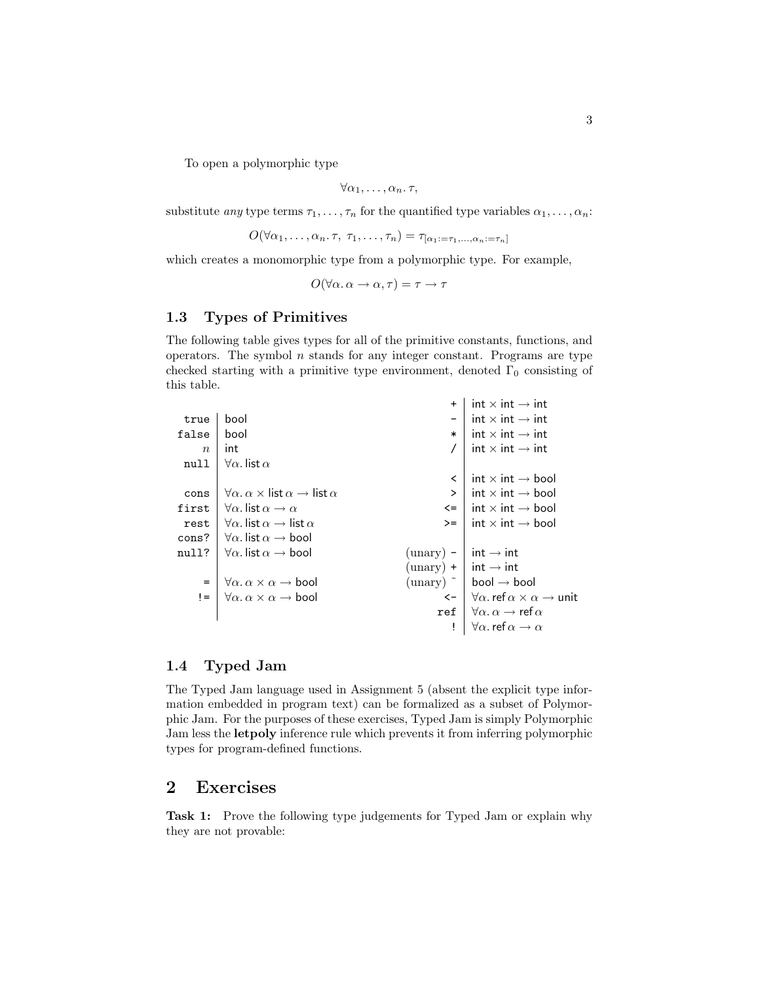3

To open a polymorphic type

$$
\forall \alpha_1, \ldots, \alpha_n.\tau,
$$

substitute *any* type terms  $\tau_1, \ldots, \tau_n$  for the quantified type variables  $\alpha_1, \ldots, \alpha_n$ :

$$
O(\forall \alpha_1, \ldots, \alpha_n, \tau, \tau_1, \ldots, \tau_n) = \tau_{[\alpha_1; = \tau_1, \ldots, \alpha_n; = \tau_n]}
$$

which creates a monomorphic type from a polymorphic type. For example,

 $O(\forall \alpha \ldotp \alpha \rightarrow \alpha \ldotp \tau) = \tau \rightarrow \tau$ 

#### 1.3 Types of Primitives

The following table gives types for all of the primitive constants, functions, and operators. The symbol  $n$  stands for any integer constant. Programs are type checked starting with a primitive type environment, denoted  $\Gamma_0$  consisting of this table.

|                  |                                                                                             | $\ddot{}$                         | $int \times int \rightarrow int$                                          |
|------------------|---------------------------------------------------------------------------------------------|-----------------------------------|---------------------------------------------------------------------------|
| true             | bool                                                                                        |                                   | $int \times int \rightarrow int$                                          |
| false            | bool                                                                                        | $\ast$                            | $int \times int \rightarrow int$                                          |
| $\boldsymbol{n}$ | int                                                                                         |                                   | $int \times int \rightarrow int$                                          |
| null             | $\forall \alpha$ . list $\alpha$                                                            |                                   |                                                                           |
|                  |                                                                                             | ≺                                 | $int \times int \rightarrow bool$                                         |
| cons             | $\forall \alpha \ldotp \alpha \times \textsf{list} \alpha \rightarrow \textsf{list} \alpha$ | $\geq$                            | int $\times$ int $\rightarrow$ bool                                       |
| first            | $\forall \alpha$ . list $\alpha \rightarrow \alpha$                                         | $\leq$                            | $int \times int \rightarrow bool$                                         |
| rest             | $\forall \alpha$ . list $\alpha \rightarrow$ list $\alpha$                                  | $>=$                              | int $\times$ int $\rightarrow$ bool                                       |
| cons?            | $\forall \alpha$ . list $\alpha \rightarrow$ bool                                           |                                   |                                                                           |
| null?            | $\forall \alpha$ . list $\alpha \rightarrow$ bool                                           | ${\rm (unary)}$ –                 | int $\rightarrow$ int                                                     |
|                  |                                                                                             | $(unary) +   int \rightarrow int$ |                                                                           |
| $=$              | $\forall \alpha \ldotp \alpha \times \alpha \rightarrow \text{bool}$                        |                                   | ${\rm (unary)}$ $\tilde{\phantom{a}}$   bool $\rightarrow$ bool           |
| $!=$             | $\forall \alpha \ldotp \alpha \times \alpha \rightarrow \mathsf{bool}$                      |                                   | $\leftarrow$ $\forall \alpha$ ref $\alpha \times \alpha \rightarrow$ unit |
|                  |                                                                                             | ref                               | $\forall \alpha \ldotp \alpha \rightarrow \text{ref } \alpha$             |
|                  |                                                                                             |                                   | $\forall \alpha$ . ref $\alpha \rightarrow \alpha$                        |
|                  |                                                                                             |                                   |                                                                           |

### 1.4 Typed Jam

The Typed Jam language used in Assignment 5 (absent the explicit type information embedded in program text) can be formalized as a subset of Polymorphic Jam. For the purposes of these exercises, Typed Jam is simply Polymorphic Jam less the letpoly inference rule which prevents it from inferring polymorphic types for program-defined functions.

## 2 Exercises

Task 1: Prove the following type judgements for Typed Jam or explain why they are not provable: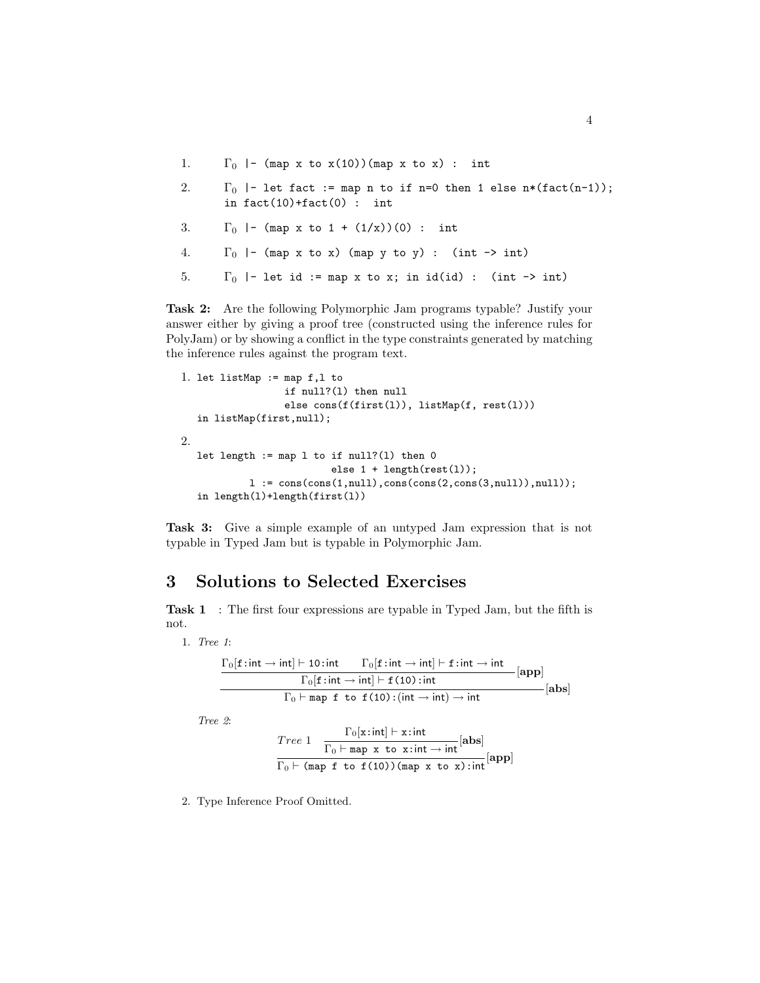- 1.  $\Gamma_0$  |- (map x to x(10))(map x to x) : int
- 2.  $\Gamma_0$  |- let fact := map n to if n=0 then 1 else n\*(fact(n-1)); in  $fact(10)+fact(0)$  : int
- 3.  $\Gamma_0$  |- (map x to 1 + (1/x))(0) : int
- 4.  $\Gamma_0$  |- (map x to x) (map y to y) : (int -> int)
- 5.  $\Gamma_0$  |- let id := map x to x; in id(id) : (int -> int)

Task 2: Are the following Polymorphic Jam programs typable? Justify your answer either by giving a proof tree (constructed using the inference rules for PolyJam) or by showing a conflict in the type constraints generated by matching the inference rules against the program text.

```
1. let listMap := map f,l to
                    if null?(l) then null
                    else cons(f(first(l)), listMap(f, rest(l)))
   in listMap(first,null);
2.
   let length := map l to if null?(1) then 0else 1 + length(rest(l));
             l := \cos(\cos(1, \text{null}), \cos(\cos(2, \text{cons}(3, \text{null}))), \text{null});
   in length(l)+length(first(l))
```
Task 3: Give a simple example of an untyped Jam expression that is not typable in Typed Jam but is typable in Polymorphic Jam.

### 3 Solutions to Selected Exercises

Task 1 : The first four expressions are typable in Typed Jam, but the fifth is not.

1. Tree 1:

 $\Gamma_0[\mathbf{f}: \mathsf{int} \to \mathsf{int}] \vdash \mathbf{10}: \mathsf{int} \qquad \Gamma_0[\mathbf{f}: \mathsf{int} \to \mathsf{int}] \vdash \mathbf{f}: \mathsf{int} \to \mathsf{int}$  $\Gamma_0[\mathtt{f:int}\rightarrow \mathsf{int}]\vdash \mathtt{f}$  (10) : int [app]  $\Gamma_0 \vdash \texttt{map}$  f to f(10): $(\textsf{int} \rightarrow \textsf{int}) \rightarrow \textsf{int}$  $-[\mathbf{abs}]$ Tree 2: Tree 1  $\frac{\Gamma_0[\mathbf{x}: \mathsf{int}] \vdash \mathbf{x}: \mathsf{int}}{\Gamma_0[\mathbf{x}: \mathsf{int}]}$  $\frac{1}{\Gamma_0 \vdash \text{map } x \text{ to } x:\text{int} \rightarrow \text{int}} [\text{abs}]$  $\Gamma_0 \vdash$  (map f to f(10))(map x to x):int [app]

2. Type Inference Proof Omitted.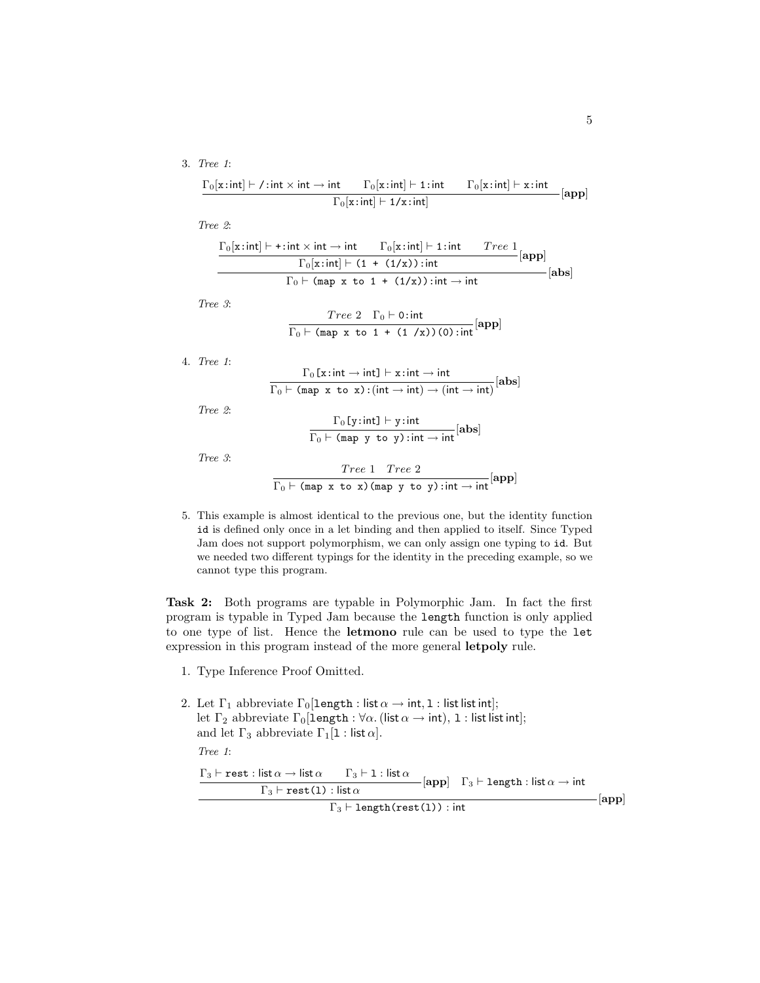#### 3. Tree 1:

$$
\frac{\Gamma_0[\mathbf{x}: \mathsf{int}] \vdash \mathsf{/} : \mathsf{int} \times \mathsf{int} \to \mathsf{int} \qquad \Gamma_0[\mathbf{x}: \mathsf{int}] \vdash \mathbf{1}: \mathsf{int} \qquad \Gamma_0[\mathbf{x}: \mathsf{int}] \vdash \mathbf{x}: \mathsf{int} \qquad \qquad [\mathbf{app}]}{\Gamma_0[\mathbf{x}: \mathsf{int}] \vdash \mathbf{1} \mathsf{/} \mathbf{x}: \mathsf{int}]}\quad [\mathbf{app}]
$$

Tree 2:

| $\Gamma_0[x:\text{int}] \vdash + : \text{int} \times \text{int} \rightarrow \text{int}$ | $\Gamma_0[x\colon \text{int}] \vdash 1\colon \text{int}$      | $rac{Tree 1}{\sqrt{1 - 2}}$ [app] |
|-----------------------------------------------------------------------------------------|---------------------------------------------------------------|-----------------------------------|
| $\Gamma_0[x:int] \vdash (1 + (1/x)) : int$                                              |                                                               | - [abs]                           |
|                                                                                         | $\Gamma_0 \vdash$ (map x to 1 + (1/x)): int $\rightarrow$ int |                                   |

Tree 3:

$$
\frac{Tree\ 2 \Gamma_0 \vdash 0 : \text{int}}{\Gamma_0 \vdash (\text{map } x \text{ to } 1 + (1 / x)) (0) : \text{int}}[\text{app}]
$$

4. Tree 1:

$$
\frac{\Gamma_0[x\text{ :} \text{int} \to \text{int} \} + x\text{ :} \text{int} \to \text{int} \text{ }}{\Gamma_0 \vdash (\text{map } x \text{ to } x) \text{ :} (\text{int} \to \text{int}) \to (\text{int} \to \text{int})} [\text{abs}]
$$

Tree 2:

$$
\frac{\Gamma_0[y\text{ :}int] \vdash y\text{ :}int}{\Gamma_0 \vdash (\text{map } y \text{ to } y) \text{ :}int \rightarrow int}[\text{abs}]
$$

Tree 3:

$$
\frac{Tree \; 1 \quad Tree \; 2}{\Gamma_0 \vdash (\texttt{map x to x}) (\texttt{map y to y}) : \texttt{int} \rightarrow \texttt{int}} [\texttt{app}]
$$

5. This example is almost identical to the previous one, but the identity function id is defined only once in a let binding and then applied to itself. Since Typed Jam does not support polymorphism, we can only assign one typing to id. But we needed two different typings for the identity in the preceding example, so we cannot type this program.

Task 2: Both programs are typable in Polymorphic Jam. In fact the first program is typable in Typed Jam because the length function is only applied to one type of list. Hence the letmono rule can be used to type the let expression in this program instead of the more general letpoly rule.

- 1. Type Inference Proof Omitted.
- 2. Let  $\Gamma_1$  abbreviate  $\Gamma_0$ [length : list  $\alpha \to \text{int}, 1$  : list list int]; let  $\Gamma_2$  abbreviate  $\Gamma_0$ [length :  $\forall \alpha$ . (list  $\alpha \to \text{int}$ ), 1 : list list int]; and let  $\Gamma_3$  abbreviate  $\Gamma_1[1:$  list  $\alpha]$ . Tree 1:  $\Gamma_3 \vdash \texttt{rest} : \textsf{list} \, \alpha \to \textsf{list} \, \alpha \qquad \Gamma_3 \vdash \texttt{l} : \textsf{list} \, \alpha$  $\frac{\text{Tr}(\mathbf{r})}{\Gamma_3 \vdash \text{rest}(1) : \text{list }\alpha}$  [app]  $\Gamma_3 \vdash \text{length} : \text{list }\alpha \rightarrow \text{int}$  $\Gamma_3$   $\vdash$  length(rest(1)) : int  $-[{\bf app}]$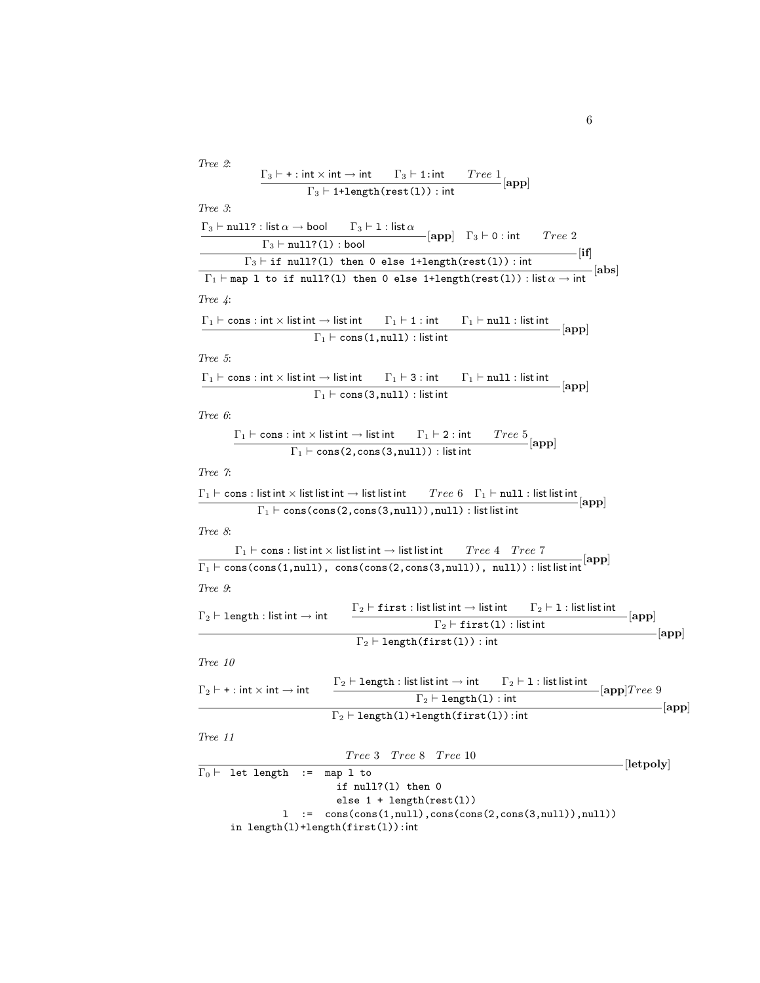| Tree 2:<br>$\Gamma_3 \vdash + : \mathsf{int} \times \mathsf{int} \to \mathsf{int}$ $\Gamma_3 \vdash 1 : \mathsf{int}$ $Tree 1$ [app]                                                                                                                      |
|-----------------------------------------------------------------------------------------------------------------------------------------------------------------------------------------------------------------------------------------------------------|
| $\Gamma_3$ $\vdash$ 1+length (rest(1)) : int                                                                                                                                                                                                              |
| Tree 3:                                                                                                                                                                                                                                                   |
| $\Gamma_3 \vdash \texttt{null?}: \mathsf{list}\,\alpha \to \mathsf{bool} \qquad \Gamma_3 \vdash \mathsf{1}: \mathsf{list}\,\alpha$                                                                                                                        |
| $-[app]$ $\Gamma_3 \vdash 0$ : int $Tree 2$<br>$\Gamma_3$ $\vdash$ null?(1) : bool                                                                                                                                                                        |
| $\longrightarrow$ $\left[ \text{if} \right]$<br>$\Gamma_3$ $\vdash$ if null?(1) then 0 else 1+length(rest(1)): int                                                                                                                                        |
| $\frac{1}{\sqrt{2}}$ [abs]<br>$\Gamma_1 \vdash \texttt{map 1 to if null?(1) then 0 else 1+length}(\texttt{rest(1)}) : \textsf{list} \alpha \rightarrow \textsf{int}$                                                                                      |
|                                                                                                                                                                                                                                                           |
| Tree $4$ :                                                                                                                                                                                                                                                |
| $\Gamma_1 \vdash \text{cons}: \text{int} \times \text{list} \cdot \text{int} \rightarrow \text{list} \cdot \text{int} \qquad \Gamma_1 \vdash 1: \text{int} \qquad \Gamma_1 \vdash \text{null}: \text{list} \cdot \text{int}$<br>$\lceil {\rm app} \rceil$ |
| $\Gamma_1 \vdash \text{cons}(1, \text{null}) : \text{list int}$                                                                                                                                                                                           |
| Tree 5:                                                                                                                                                                                                                                                   |
| $\Gamma_1 \vdash \text{cons}: \text{int} \times \text{list} \text{int} \rightarrow \text{list} \text{int} \qquad \Gamma_1 \vdash 3: \text{int} \qquad \Gamma_1 \vdash \text{null}: \text{list} \text{int}$                                                |
| $\lceil {\rm app} \rceil$<br>$\Gamma_1 \vdash \text{cons}(3, \text{null}) : \text{list int}$                                                                                                                                                              |
| Tree 6:                                                                                                                                                                                                                                                   |
| $\Gamma_1 \vdash \text{cons}: \text{int} \times \text{list} \cdot \text{int} \longrightarrow \text{list} \cdot \text{int} \qquad \Gamma_1 \vdash 2: \text{int} \qquad Tree \ 5$ [app]                                                                     |
| $\Gamma_1 \vdash \text{cons}(2, \text{cons}(3, \text{null}))$ : list int                                                                                                                                                                                  |
|                                                                                                                                                                                                                                                           |
| Tree 7:                                                                                                                                                                                                                                                   |
| $\Gamma_1 \vdash \texttt{cons} : \textsf{list} \textsf{int} \times \textsf{list} \textsf{int} \rightarrow \textsf{list} \textsf{list} \textsf{int}$ $Tree 6 \quad \Gamma_1 \vdash \texttt{null} : \textsf{list} \textsf{int}$<br>$- \mathrm{app} $        |
| $\Gamma_1 \vdash \text{cons}(\text{cons}(2, \text{cons}(3, \text{null}))$ , null) : list list int                                                                                                                                                         |
| Tree 8:                                                                                                                                                                                                                                                   |
| $\Gamma_1 \vdash \textsf{cons} : \textsf{list} \textsf{int} \times \textsf{list} \textsf{int} \to \textsf{list} \textsf{list} \textsf{int}$<br>Tree 4 Tree 7                                                                                              |
| $\Gamma_1 \vdash \text{cons}(\text{cons}(1, \text{null}), \text{cons}(\text{cons}(2, \text{cons}(3, \text{null})), \text{null}))$ : list list int                                                                                                         |
| Tree 9:                                                                                                                                                                                                                                                   |
| $\Gamma_2 \vdash \mathtt{first} : \mathsf{list} \mathbin{\mathsf{list}} \mathbin{\mathsf{int}} \to \mathsf{list} \mathbin{\mathsf{int}} \qquad \Gamma_2 \vdash \mathtt{1} : \mathsf{list} \mathbin{\mathsf{list}} \mathbin{\mathsf{int}}$                 |
| $\Gamma_2 \vdash \mathtt{length} : \mathsf{list}\,\mathsf{int} \to \mathsf{int}$<br>$- app $<br>$\Gamma_2$ $\vdash$ first(1) : list int                                                                                                                   |
| app <br>$\Gamma_2 \vdash \text{length}(\texttt{first}(1))$ : int                                                                                                                                                                                          |
|                                                                                                                                                                                                                                                           |
| Tree 10                                                                                                                                                                                                                                                   |
| $\Gamma_2 \vdash$ length : list list int $\to$ int $\qquad \Gamma_2 \vdash 1$ : list list int<br>$\Gamma_2 \vdash$ + : int $\times$ int $\rightarrow$ int<br>[app]Tree 9                                                                                  |
| $\Gamma_2 \vdash \text{length}(1)$ : int<br>-[app]                                                                                                                                                                                                        |
| $\Gamma_2 \vdash \text{length}(1) + \text{length}(\text{first}(1))$ : int                                                                                                                                                                                 |
| Tree 11                                                                                                                                                                                                                                                   |
| Tree 3 Tree 8 Tree 10                                                                                                                                                                                                                                     |
| $\Gamma_0 \vdash$ let length<br>map 1 to<br>$:=$                                                                                                                                                                                                          |
| if $null?(1)$ then $0$                                                                                                                                                                                                                                    |
| else $1 + length(rest(1))$                                                                                                                                                                                                                                |
| ı.<br>$: =$                                                                                                                                                                                                                                               |
| $-[let poly]$<br>cons(cons(1,null),cons(cons(2,cons(3,null)),null))<br>in length(1)+length(first(1)):int                                                                                                                                                  |

6